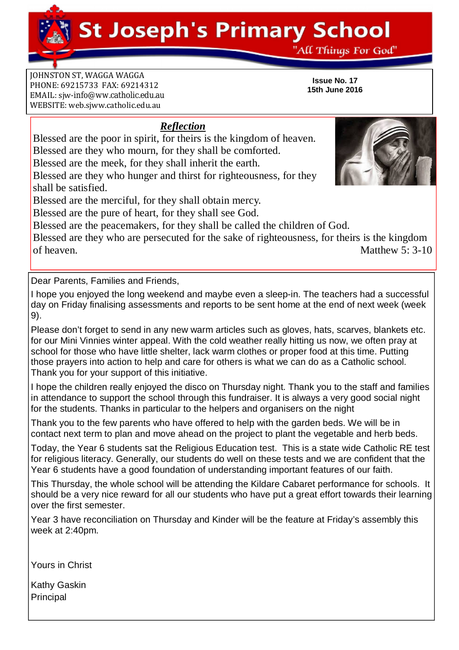**St Joseph's Primary School** 

"All Things For God"

**Issue No. 17 15th June 2016**

**JOHNSTON ST, WAGGA WAGGA** PHONE: 69215733 FAX: 69214312 EMAIL: siw[-info@ww.catholic.edu.au](mailto:-info@ww.catholic.edu.au) WEBSITE: web.sjww.catholic.edu.au

## *Reflection*

Blessed are the poor in spirit, for theirs is the kingdom of heaven. Blessed are they who mourn, for they shall be comforted.

Blessed are the meek, for they shall inherit the earth.

Blessed are they who hunger and thirst for righteousness, for they shall be satisfied.

Blessed are the merciful, for they shall obtain mercy.

Blessed are the pure of heart, for they shall see God.

Blessed are the peacemakers, for they shall be called the children of God.

Blessed are they who are persecuted for the sake of righteousness, for theirs is the kingdom of heaven. Matthew 5: 3-10

Dear Parents, Families and Friends,

I hope you enjoyed the long weekend and maybe even a sleep-in. The teachers had a successful day on Friday finalising assessments and reports to be sent home at the end of next week (week 9).

Please don't forget to send in any new warm articles such as gloves, hats, scarves, blankets etc. for our Mini Vinnies winter appeal. With the cold weather really hitting us now, we often pray at school for those who have little shelter, lack warm clothes or proper food at this time. Putting those prayers into action to help and care for others is what we can do as a Catholic school. Thank you for your support of this initiative.

I hope the children really enjoyed the disco on Thursday night. Thank you to the staff and families in attendance to support the school through this fundraiser. It is always a very good social night for the students. Thanks in particular to the helpers and organisers on the night

Thank you to the few parents who have offered to help with the garden beds. We will be in contact next term to plan and move ahead on the project to plant the vegetable and herb beds.

Today, the Year 6 students sat the Religious Education test. This is a state wide Catholic RE test for religious literacy. Generally, our students do well on these tests and we are confident that the Year 6 students have a good foundation of understanding important features of our faith.

This Thursday, the whole school will be attending the Kildare Cabaret performance for schools. It should be a very nice reward for all our students who have put a great effort towards their learning over the first semester.

Year 3 have reconciliation on Thursday and Kinder will be the feature at Friday's assembly this week at 2:40pm.

Yours in Christ

Kathy Gaskin Principal

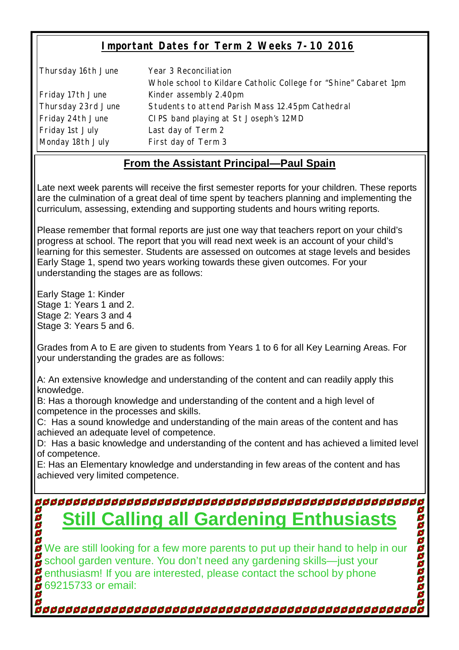## **Important Dates for Term 2 Weeks 7-10 2016**

Thursday 16th June Year 3 Reconciliation Whole school to Kildare Catholic College for "Shine" Cabaret 1pm Friday 17th June Kinder assembly 2.40pm Thursday 23rd June Students to attend Parish Mass 12.45pm Cathedral Friday 24th June CIPS band playing at St Joseph's 12MD Friday 1st July Last day of Term 2 Monday 18th July First day of Term 3

## **From the Assistant Principal—Paul Spain**

Late next week parents will receive the first semester reports for your children. These reports are the culmination of a great deal of time spent by teachers planning and implementing the curriculum, assessing, extending and supporting students and hours writing reports.

Please remember that formal reports are just one way that teachers report on your child's progress at school. The report that you will read next week is an account of your child's learning for this semester. Students are assessed on outcomes at stage levels and besides Early Stage 1, spend two years working towards these given outcomes. For your understanding the stages are as follows:

Early Stage 1: Kinder Stage 1: Years 1 and 2. Stage 2: Years 3 and 4 Stage 3: Years 5 and 6.

Grades from A to E are given to students from Years 1 to 6 for all Key Learning Areas. For your understanding the grades are as follows:

A: An extensive knowledge and understanding of the content and can readily apply this knowledge.

B: Has a thorough knowledge and understanding of the content and a high level of competence in the processes and skills.

C: Has a sound knowledge and understanding of the main areas of the content and has achieved an adequate level of competence.

D: Has a basic knowledge and understanding of the content and has achieved a limited level of competence.

E: Has an Elementary knowledge and understanding in few areas of the content and has achieved very limited competence.

# **Still Calling all Gardening Enthusiasts**

We are still looking for a few more parents to put up their hand to help in our school garden venture. You don't need any gardening skills—just your enthusiasm! If you are interested, please contact the school by phone 69215733 or email: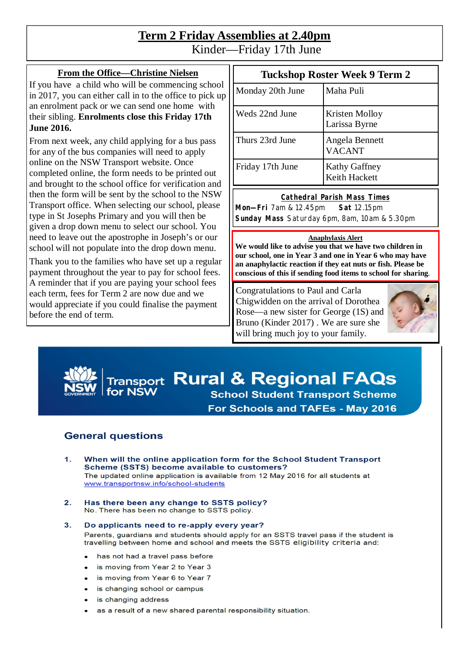# **Term 2 Friday Assemblies at 2.40pm**

Kinder—Friday 17th June

#### **From the Office—Christine Nielsen**

If you have a child who will be commencing school in 2017, you can either call in to the office to pick up an enrolment pack or we can send one home with their sibling. **Enrolments close this Friday 17th June 2016.**

From next week, any child applying for a bus pass for any of the bus companies will need to apply online on the NSW Transport website. Once completed online, the form needs to be printed out and brought to the school office for verification and then the form will be sent by the school to the NSW Transport office. When selecting our school, please type in St Josephs Primary and you will then be given a drop down menu to select our school. You need to leave out the apostrophe in Joseph's or our school will not populate into the drop down menu.

Thank you to the families who have set up a regular payment throughout the year to pay for school fees. A reminder that if you are paying your school fees each term, fees for Term 2 are now due and we would appreciate if you could finalise the payment before the end of term.

## **Tuckshop Roster Week 9 Term 2**

| Monday 20th June | Maha Puli                              |
|------------------|----------------------------------------|
| Weds 22nd June   | <b>Kristen Molloy</b><br>Larissa Byrne |
| Thurs 23rd June  | Angela Bennett<br><b>VACANT</b>        |
| Friday 17th June | <b>Kathy Gaffney</b><br>Keith Hackett  |

#### **Cathedral Parish Mass Times**

**Mon—Fri** 7am & 12.45pm **Sat** 12.15pm **Sunday Mass** Saturday 6pm, 8am, 10am & 5.30pm

#### **Anaphylaxis Alert**

**We would like to advise you that we have two children in our school, one in Year 3 and one in Year 6 who may have an anaphylactic reaction if they eat nuts or fish. Please be conscious of this if sending food items to school for sharing.**

Congratulations to Paul and Carla Chigwidden on the arrival of Dorothea Rose—a new sister for George (1S) and Bruno (Kinder 2017) . We are sure she will bring much joy to your family.



# **Transport Rural & Regional FAQs School Student Transport Scheme For Schools and TAFEs - May 2016**

### **General questions**

- $1.$ When will the online application form for the School Student Transport Scheme (SSTS) become available to customers? The updated online application is available from 12 May 2016 for all students at www.transportnsw.info/school-students
- $2.$ Has there been any change to SSTS policy? No. There has been no change to SSTS policy.

#### Do applicants need to re-apply every year?  $3.$ Parents, guardians and students should apply for an SSTS travel pass if the student is travelling between home and school and meets the SSTS eligibility criteria and:

- has not had a travel pass before
- is moving from Year 2 to Year 3
- is moving from Year 6 to Year 7
- is changing school or campus
- is changing address
- as a result of a new shared parental responsibility situation.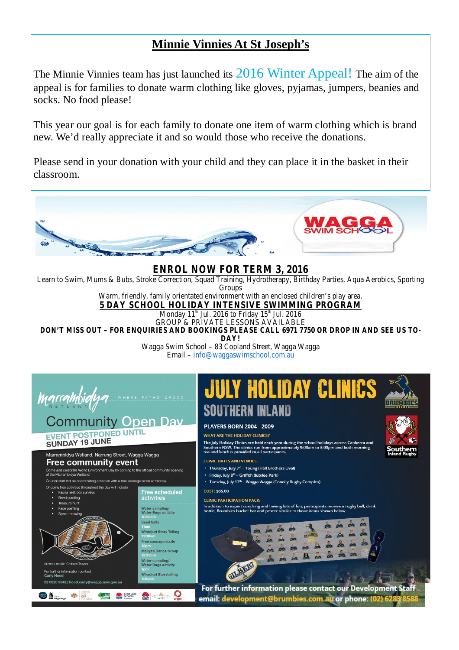# **Minnie Vinnies At St Joseph's**

The Minnie Vinnies team has just launched its 2016 Winter Appeal! The aim of the appeal is for families to donate warm clothing like gloves, pyjamas, jumpers, beanies and socks. No food please!

This year our goal is for each family to donate one item of warm clothing which is brand new. We'd really appreciate it and so would those who receive the donations.

Please send in your donation with your child and they can place it in the basket in their classroom.



## **ENROL NOW FOR TERM 3, 2016**

Learn to Swim, Mums & Bubs, Stroke Correction, Squad Training, Hydrotherapy, Birthday Parties, Aqua Aerobics, Sporting **Groups** 

Warm, friendly, family orientated environment with an enclosed children's play area. **5 DAY SCHOOL HOLIDAY INTENSIVE SWIMMING PROGRAM**

Monday 11<sup>th</sup> Jul. 2016 to Friday 15<sup>th</sup> Jul. 2016

*GROUP & PRIVATE LESSONS AVAILABLE* **DON'T MISS OUT – FOR ENQUIRIES AND BOOKINGS PLEASE CALL 6971 7750 OR DROP IN AND SEE US TO-**

**DAY!**

Wagga Swim School – 83 Copland Street, Wagga Wagga Email – [info@waggaswimschool.com.au](mailto:info@waggaswimschool.com.au)



## **Community Open Dav** EVENT POSTPONED UNTIL

## SUNDAY 19 JUNE

.<br>Marrambidya Wetland, Narrung Street, Wagga Wagga **Free community event** 

Come and celebrate World Environment Day by coming to the official community opening<br>of the Marrambidya Wetland! Council staff will be coordinating activities with a free sausage sizzle at midday



For further information contact





#### **PLAYERS BORN 2004 - 2009**

#### WHAT ARE THE HOLIDAY CLINICS?

The July Holiday Clinics are held each year during the school holidays across Canberra and<br>Southern NSW. The clinics run from approximately 9:00am to 3:00pm and both morning<br>tea and lunch is provided to all participants.

- **CLINIC DATES AND VENUES:**
- Thursday, July 7<sup>th</sup> Young (Hall Brothers Oval)
- · Friday, July 8<sup>th</sup> Griffith (Jubilee Park)
- Tuesday, July 12<sup>th</sup> Wagga Wagga (Conolly Rugby Complex).
- COST: \$66.00

#### **CLINIC PARTICIPATION PACK:**

In addition to expert coaching and having lots of fun, participants receive a rugby ball, drink<br>bottle, Brumbies bucket hat and poster similar to those items shown below.



For further information please contact our Development Staff email: development@brumbies.com.au or phone: (02) 62